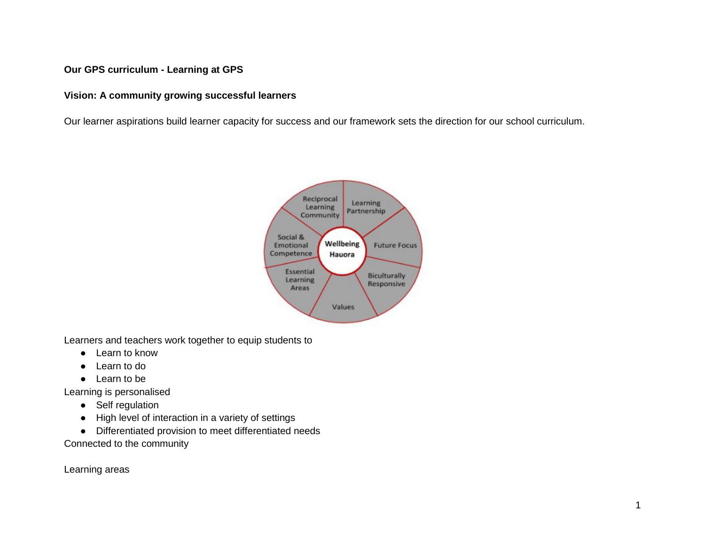## **Our GPS curriculum - Learning at GPS**

## **Vision: A community growing successful learners**

Our learner aspirations build learner capacity for success and our framework sets the direction for our school curriculum.



Learners and teachers work together to equip students to

- Learn to know
- Learn to do
- Learn to be

Learning is personalised

- Self regulation
- High level of interaction in a variety of settings
- Differentiated provision to meet differentiated needs

Connected to the community

Learning areas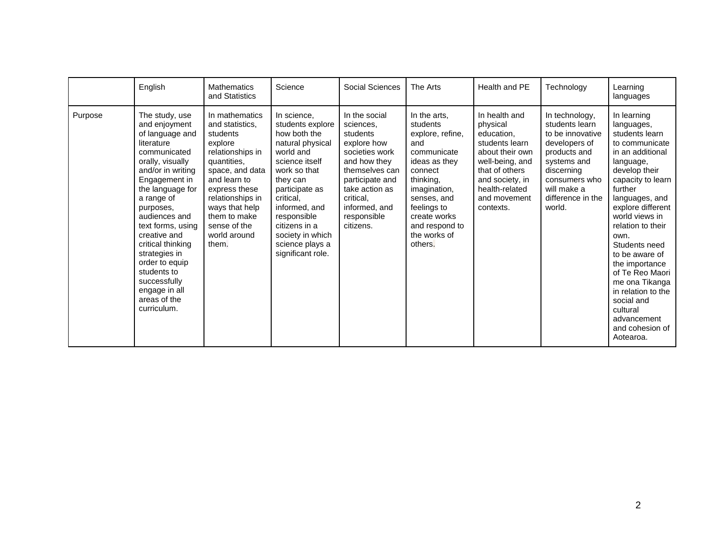|         | English                                                                                                                                                                                                                                                                                                                                                                                | <b>Mathematics</b><br>and Statistics                                                                                                                                                                                                           | Science                                                                                                                                                                                                                                                                    | Social Sciences                                                                                                                                                                                          | The Arts                                                                                                                                                                                                               | Health and PE                                                                                                                                                                       | Technology                                                                                                                                                                        | Learning<br>languages                                                                                                                                                                                                                                                                                                                                                                                                          |
|---------|----------------------------------------------------------------------------------------------------------------------------------------------------------------------------------------------------------------------------------------------------------------------------------------------------------------------------------------------------------------------------------------|------------------------------------------------------------------------------------------------------------------------------------------------------------------------------------------------------------------------------------------------|----------------------------------------------------------------------------------------------------------------------------------------------------------------------------------------------------------------------------------------------------------------------------|----------------------------------------------------------------------------------------------------------------------------------------------------------------------------------------------------------|------------------------------------------------------------------------------------------------------------------------------------------------------------------------------------------------------------------------|-------------------------------------------------------------------------------------------------------------------------------------------------------------------------------------|-----------------------------------------------------------------------------------------------------------------------------------------------------------------------------------|--------------------------------------------------------------------------------------------------------------------------------------------------------------------------------------------------------------------------------------------------------------------------------------------------------------------------------------------------------------------------------------------------------------------------------|
| Purpose | The study, use<br>and enjoyment<br>of language and<br>literature<br>communicated<br>orally, visually<br>and/or in writing<br>Engagement in<br>the language for<br>a range of<br>purposes,<br>audiences and<br>text forms, using<br>creative and<br>critical thinking<br>strategies in<br>order to equip<br>students to<br>successfully<br>engage in all<br>areas of the<br>curriculum. | In mathematics<br>and statistics,<br>students<br>explore<br>relationships in<br>quantities,<br>space, and data<br>and learn to<br>express these<br>relationships in<br>ways that help<br>them to make<br>sense of the<br>world around<br>them. | In science,<br>students explore<br>how both the<br>natural physical<br>world and<br>science itself<br>work so that<br>they can<br>participate as<br>critical,<br>informed, and<br>responsible<br>citizens in a<br>society in which<br>science plays a<br>significant role. | In the social<br>sciences,<br>students<br>explore how<br>societies work<br>and how they<br>themselves can<br>participate and<br>take action as<br>critical,<br>informed, and<br>responsible<br>citizens. | In the arts,<br>students<br>explore, refine,<br>and<br>communicate<br>ideas as they<br>connect<br>thinking,<br>imagination,<br>senses, and<br>feelings to<br>create works<br>and respond to<br>the works of<br>others. | In health and<br>physical<br>education.<br>students learn<br>about their own<br>well-being, and<br>that of others<br>and society, in<br>health-related<br>and movement<br>contexts. | In technology,<br>students learn<br>to be innovative<br>developers of<br>products and<br>systems and<br>discerning<br>consumers who<br>will make a<br>difference in the<br>world. | In learning<br>languages,<br>students learn<br>to communicate<br>in an additional<br>language,<br>develop their<br>capacity to learn<br>further<br>languages, and<br>explore different<br>world views in<br>relation to their<br>own.<br>Students need<br>to be aware of<br>the importance<br>of Te Reo Maori<br>me ona Tikanga<br>in relation to the<br>social and<br>cultural<br>advancement<br>and cohesion of<br>Aotearoa. |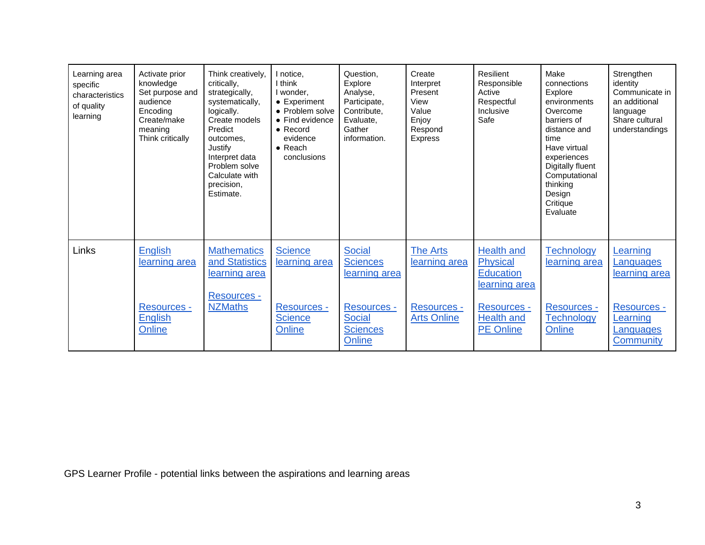| Learning area<br>specific<br>characteristics<br>of quality<br>learning | Activate prior<br>knowledge<br>Set purpose and<br>audience<br>Encoding<br>Create/make<br>meaning<br>Think critically | Think creatively,<br>critically,<br>strategically,<br>systematically,<br>logically.<br>Create models<br>Predict<br>outcomes.<br>Justify<br>Interpret data<br>Problem solve<br>Calculate with<br>precision,<br>Estimate. | I notice.<br>I think<br>I wonder,<br>• Experiment<br>• Problem solve<br>• Find evidence<br>$\bullet$ Record<br>evidence<br>$\bullet$ Reach<br>conclusions | Question.<br>Explore<br>Analyse,<br>Participate,<br>Contribute.<br>Evaluate.<br>Gather<br>information. | Create<br>Interpret<br>Present<br>View<br>Value<br>Enjoy<br>Respond<br><b>Express</b> | Resilient<br>Responsible<br>Active<br>Respectful<br>Inclusive<br>Safe | Make<br>connections<br>Explore<br>environments<br>Overcome<br>barriers of<br>distance and<br>time<br>Have virtual<br>experiences<br>Digitally fluent<br>Computational<br>thinking<br>Design<br>Critique<br>Evaluate | Strengthen<br>identity<br>Communicate in<br>an additional<br>language<br>Share cultural<br>understandings |
|------------------------------------------------------------------------|----------------------------------------------------------------------------------------------------------------------|-------------------------------------------------------------------------------------------------------------------------------------------------------------------------------------------------------------------------|-----------------------------------------------------------------------------------------------------------------------------------------------------------|--------------------------------------------------------------------------------------------------------|---------------------------------------------------------------------------------------|-----------------------------------------------------------------------|---------------------------------------------------------------------------------------------------------------------------------------------------------------------------------------------------------------------|-----------------------------------------------------------------------------------------------------------|
| Links                                                                  | <b>English</b><br>learning area                                                                                      | <b>Mathematics</b><br>and Statistics<br>learning area                                                                                                                                                                   | <b>Science</b><br>learning area                                                                                                                           | <b>Social</b><br><b>Sciences</b><br>learning area                                                      | <b>The Arts</b><br>learning area                                                      | Health and<br><b>Physical</b><br><b>Education</b><br>learning area    | <b>Technology</b><br>learning area                                                                                                                                                                                  | Learning<br>Languages<br>learning area                                                                    |
|                                                                        | <b>Resources -</b><br>English<br>Online                                                                              | Resources -<br><b>NZMaths</b>                                                                                                                                                                                           | <b>Resources -</b><br><b>Science</b><br>Online                                                                                                            | <b>Resources -</b><br><b>Social</b><br><b>Sciences</b><br>Online                                       | <b>Resources -</b><br><b>Arts Online</b>                                              | <b>Resources -</b><br>Health and<br><b>PE Online</b>                  | Resources -<br><b>Technology</b><br>Online                                                                                                                                                                          | Resources -<br>Learning<br><b>Languages</b><br>Community                                                  |

GPS Learner Profile - potential links between the aspirations and learning areas